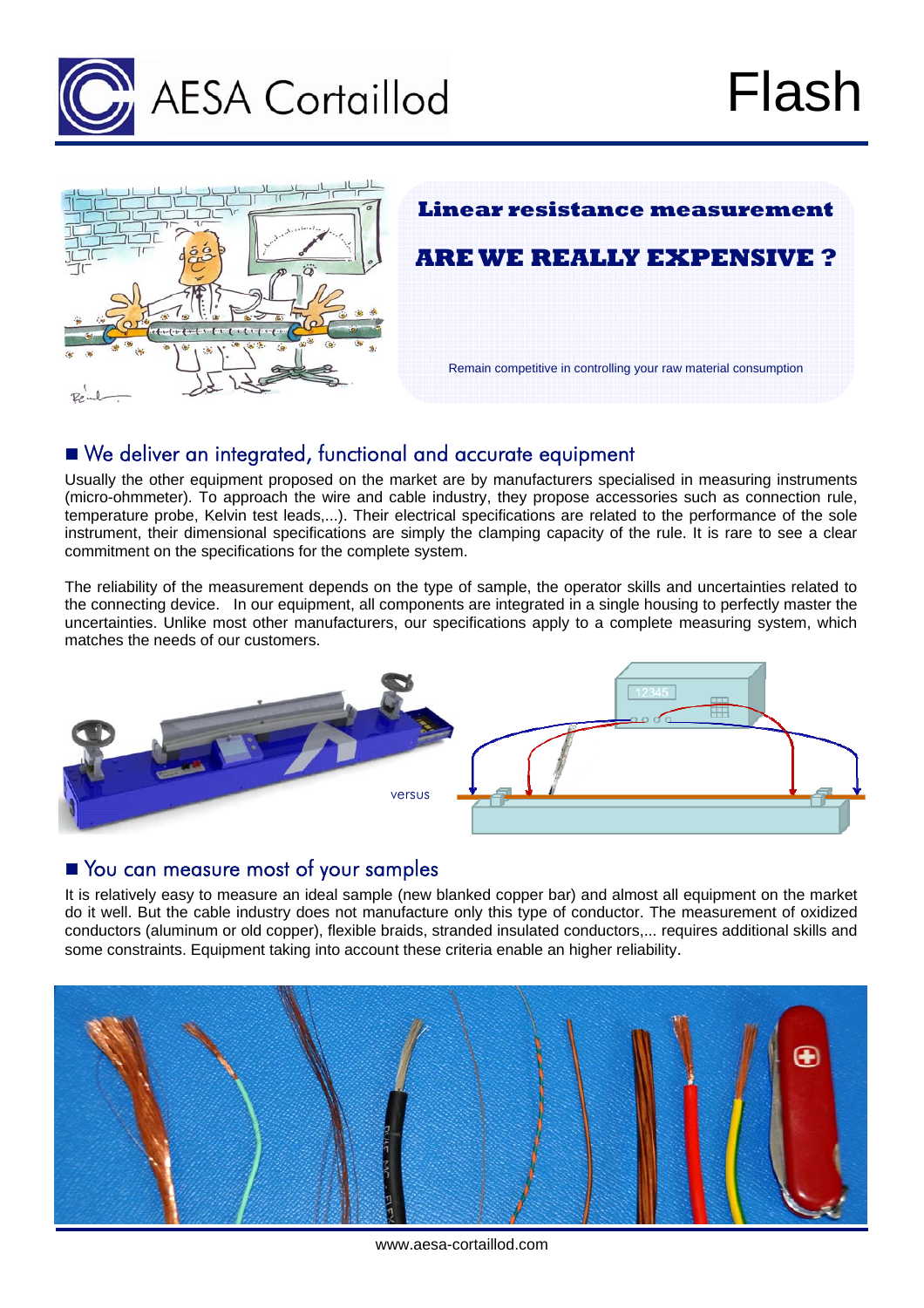



# **Linear resistance measurement ARE WE REALLY EXPENSIVE ?** Remain competitive in controlling your raw material consumption

## We deliver an integrated, functional and accurate equipment

Usually the other equipment proposed on the market are by manufacturers specialised in measuring instruments (micro-ohmmeter). To approach the wire and cable industry, they propose accessories such as connection rule, temperature probe, Kelvin test leads,...). Their electrical specifications are related to the performance of the sole instrument, their dimensional specifications are simply the clamping capacity of the rule. It is rare to see a clear commitment on the specifications for the complete system.

The reliability of the measurement depends on the type of sample, the operator skills and uncertainties related to the connecting device. In our equipment, all components are integrated in a single housing to perfectly master the uncertainties. Unlike most other manufacturers, our specifications apply to a complete measuring system, which matches the needs of our customers.



## You can measure most of your samples

It is relatively easy to measure an ideal sample (new blanked copper bar) and almost all equipment on the market do it well. But the cable industry does not manufacture only this type of conductor. The measurement of oxidized conductors (aluminum or old copper), flexible braids, stranded insulated conductors,... requires additional skills and some constraints. Equipment taking into account these criteria enable an higher reliability.



www.aesa-cortaillod.com